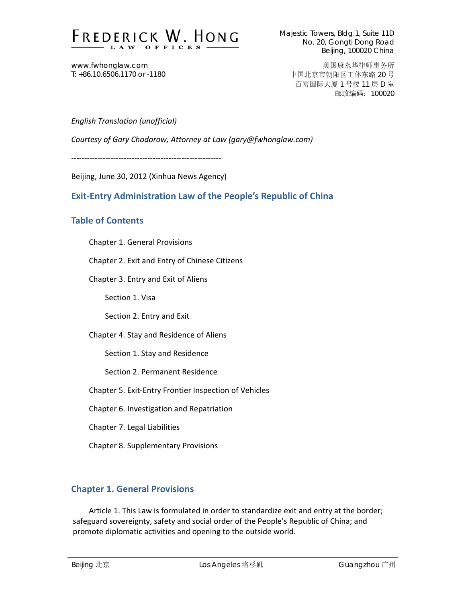

www.fwhonglaw.com T: +86.10.6506.1170 or -1180

美国康永华律师事务所 中国北京市朝阳区工体东路 20 号 百富国际大厦 1 号楼 11 层 D 室 邮政编码:100020

## *English Translation (unofficial)*

*Courtesy of Gary Chodorow, Attorney at Law (gary@fwhonglaw.com)*

‐‐‐‐‐‐‐‐‐‐‐‐‐‐‐‐‐‐‐‐‐‐‐‐‐‐‐‐‐‐‐‐‐‐‐‐‐‐‐‐‐‐‐‐‐‐‐‐‐‐‐‐‐‐‐‐‐

Beijing, June 30, 2012 (Xinhua News Agency)

# **Exit‐Entry Administration Law of the People's Republic of China**

# **Table of Contents**

Chapter 1. General Provisions

Chapter 2. Exit and Entry of Chinese Citizens

Chapter 3. Entry and Exit of Aliens

Section 1. Visa

Section 2. Entry and Exit

Chapter 4. Stay and Residence of Aliens

Section 1. Stay and Residence

Section 2. Permanent Residence

Chapter 5. Exit‐Entry Frontier Inspection of Vehicles

Chapter 6. Investigation and Repatriation

Chapter 7. Legal Liabilities

Chapter 8. Supplementary Provisions

# **Chapter 1. General Provisions**

Article 1. This Law is formulated in order to standardize exit and entry at the border; safeguard sovereignty, safety and social order of the People's Republic of China; and promote diplomatic activities and opening to the outside world.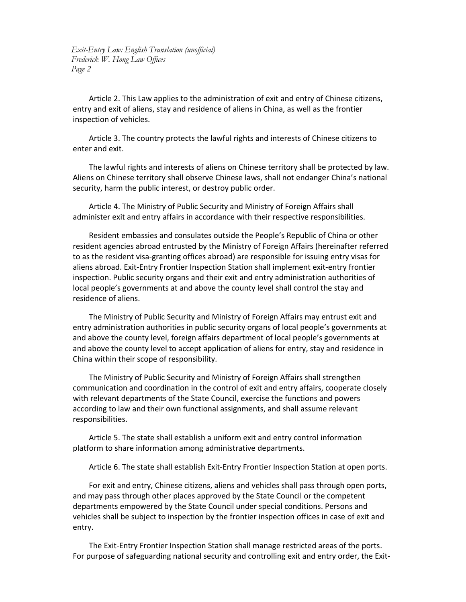Article 2. This Law applies to the administration of exit and entry of Chinese citizens, entry and exit of aliens, stay and residence of aliens in China, as well as the frontier inspection of vehicles.

Article 3. The country protects the lawful rights and interests of Chinese citizens to enter and exit.

The lawful rights and interests of aliens on Chinese territory shall be protected by law. Aliens on Chinese territory shall observe Chinese laws, shall not endanger China's national security, harm the public interest, or destroy public order.

Article 4. The Ministry of Public Security and Ministry of Foreign Affairs shall administer exit and entry affairs in accordance with their respective responsibilities.

Resident embassies and consulates outside the People's Republic of China or other resident agencies abroad entrusted by the Ministry of Foreign Affairs (hereinafter referred to as the resident visa‐granting offices abroad) are responsible for issuing entry visas for aliens abroad. Exit‐Entry Frontier Inspection Station shall implement exit‐entry frontier inspection. Public security organs and their exit and entry administration authorities of local people's governments at and above the county level shall control the stay and residence of aliens.

The Ministry of Public Security and Ministry of Foreign Affairs may entrust exit and entry administration authorities in public security organs of local people's governments at and above the county level, foreign affairs department of local people's governments at and above the county level to accept application of aliens for entry, stay and residence in China within their scope of responsibility.

The Ministry of Public Security and Ministry of Foreign Affairs shall strengthen communication and coordination in the control of exit and entry affairs, cooperate closely with relevant departments of the State Council, exercise the functions and powers according to law and their own functional assignments, and shall assume relevant responsibilities.

Article 5. The state shall establish a uniform exit and entry control information platform to share information among administrative departments.

Article 6. The state shall establish Exit‐Entry Frontier Inspection Station at open ports.

For exit and entry, Chinese citizens, aliens and vehicles shall pass through open ports, and may pass through other places approved by the State Council or the competent departments empowered by the State Council under special conditions. Persons and vehicles shall be subject to inspection by the frontier inspection offices in case of exit and entry.

The Exit‐Entry Frontier Inspection Station shall manage restricted areas of the ports. For purpose of safeguarding national security and controlling exit and entry order, the Exit‐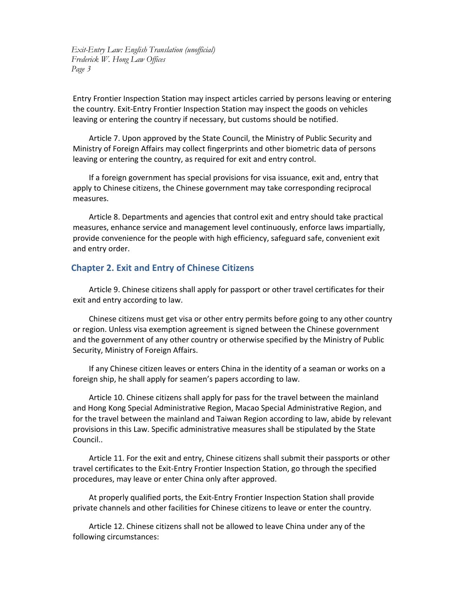Entry Frontier Inspection Station may inspect articles carried by persons leaving or entering the country. Exit‐Entry Frontier Inspection Station may inspect the goods on vehicles leaving or entering the country if necessary, but customs should be notified.

Article 7. Upon approved by the State Council, the Ministry of Public Security and Ministry of Foreign Affairs may collect fingerprints and other biometric data of persons leaving or entering the country, as required for exit and entry control.

If a foreign government has special provisions for visa issuance, exit and, entry that apply to Chinese citizens, the Chinese government may take corresponding reciprocal measures.

Article 8. Departments and agencies that control exit and entry should take practical measures, enhance service and management level continuously, enforce laws impartially, provide convenience for the people with high efficiency, safeguard safe, convenient exit and entry order.

## **Chapter 2. Exit and Entry of Chinese Citizens**

Article 9. Chinese citizens shall apply for passport or other travel certificates for their exit and entry according to law.

Chinese citizens must get visa or other entry permits before going to any other country or region. Unless visa exemption agreement is signed between the Chinese government and the government of any other country or otherwise specified by the Ministry of Public Security, Ministry of Foreign Affairs.

If any Chinese citizen leaves or enters China in the identity of a seaman or works on a foreign ship, he shall apply for seamen's papers according to law.

Article 10. Chinese citizens shall apply for pass for the travel between the mainland and Hong Kong Special Administrative Region, Macao Special Administrative Region, and for the travel between the mainland and Taiwan Region according to law, abide by relevant provisions in this Law. Specific administrative measures shall be stipulated by the State Council..

Article 11. For the exit and entry, Chinese citizens shall submit their passports or other travel certificates to the Exit‐Entry Frontier Inspection Station, go through the specified procedures, may leave or enter China only after approved.

At properly qualified ports, the Exit‐Entry Frontier Inspection Station shall provide private channels and other facilities for Chinese citizens to leave or enter the country.

Article 12. Chinese citizens shall not be allowed to leave China under any of the following circumstances: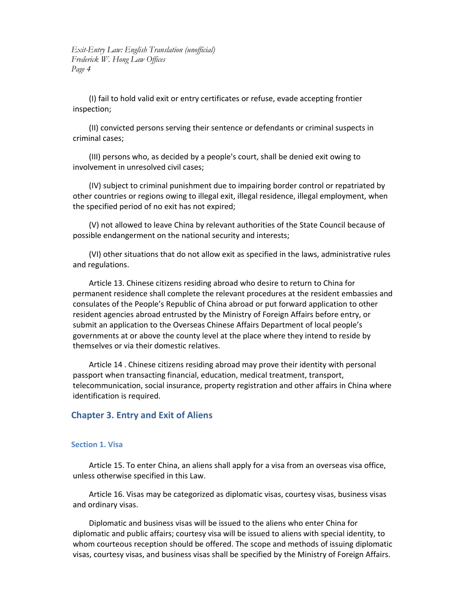(I) fail to hold valid exit or entry certificates or refuse, evade accepting frontier inspection;

(II) convicted persons serving their sentence or defendants or criminal suspects in criminal cases;

(III) persons who, as decided by a people's court, shall be denied exit owing to involvement in unresolved civil cases;

(IV) subject to criminal punishment due to impairing border control or repatriated by other countries or regions owing to illegal exit, illegal residence, illegal employment, when the specified period of no exit has not expired;

(V) not allowed to leave China by relevant authorities of the State Council because of possible endangerment on the national security and interests;

(VI) other situations that do not allow exit as specified in the laws, administrative rules and regulations.

Article 13. Chinese citizens residing abroad who desire to return to China for permanent residence shall complete the relevant procedures at the resident embassies and consulates of the People's Republic of China abroad or put forward application to other resident agencies abroad entrusted by the Ministry of Foreign Affairs before entry, or submit an application to the Overseas Chinese Affairs Department of local people's governments at or above the county level at the place where they intend to reside by themselves or via their domestic relatives.

Article 14 . Chinese citizens residing abroad may prove their identity with personal passport when transacting financial, education, medical treatment, transport, telecommunication, social insurance, property registration and other affairs in China where identification is required.

### **Chapter 3. Entry and Exit of Aliens**

#### **Section 1. Visa**

Article 15. To enter China, an aliens shall apply for a visa from an overseas visa office, unless otherwise specified in this Law.

Article 16. Visas may be categorized as diplomatic visas, courtesy visas, business visas and ordinary visas.

Diplomatic and business visas will be issued to the aliens who enter China for diplomatic and public affairs; courtesy visa will be issued to aliens with special identity, to whom courteous reception should be offered. The scope and methods of issuing diplomatic visas, courtesy visas, and business visas shall be specified by the Ministry of Foreign Affairs.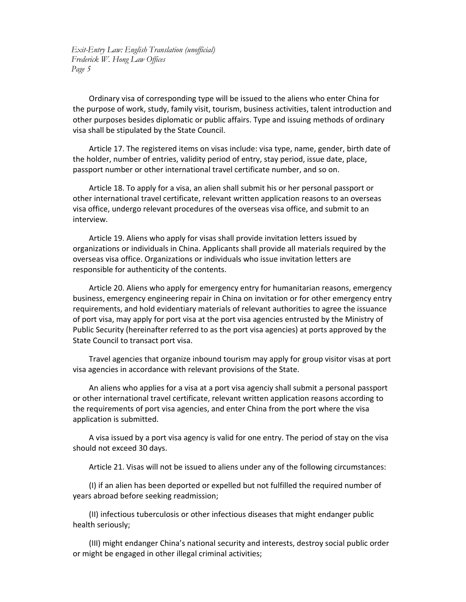Ordinary visa of corresponding type will be issued to the aliens who enter China for the purpose of work, study, family visit, tourism, business activities, talent introduction and other purposes besides diplomatic or public affairs. Type and issuing methods of ordinary visa shall be stipulated by the State Council.

Article 17. The registered items on visas include: visa type, name, gender, birth date of the holder, number of entries, validity period of entry, stay period, issue date, place, passport number or other international travel certificate number, and so on.

Article 18. To apply for a visa, an alien shall submit his or her personal passport or other international travel certificate, relevant written application reasons to an overseas visa office, undergo relevant procedures of the overseas visa office, and submit to an interview.

Article 19. Aliens who apply for visas shall provide invitation letters issued by organizations or individuals in China. Applicants shall provide all materials required by the overseas visa office. Organizations or individuals who issue invitation letters are responsible for authenticity of the contents.

Article 20. Aliens who apply for emergency entry for humanitarian reasons, emergency business, emergency engineering repair in China on invitation or for other emergency entry requirements, and hold evidentiary materials of relevant authorities to agree the issuance of port visa, may apply for port visa at the port visa agencies entrusted by the Ministry of Public Security (hereinafter referred to as the port visa agencies) at ports approved by the State Council to transact port visa.

Travel agencies that organize inbound tourism may apply for group visitor visas at port visa agencies in accordance with relevant provisions of the State.

An aliens who applies for a visa at a port visa agenciy shall submit a personal passport or other international travel certificate, relevant written application reasons according to the requirements of port visa agencies, and enter China from the port where the visa application is submitted.

A visa issued by a port visa agency is valid for one entry. The period of stay on the visa should not exceed 30 days.

Article 21. Visas will not be issued to aliens under any of the following circumstances:

(I) if an alien has been deported or expelled but not fulfilled the required number of years abroad before seeking readmission;

(II) infectious tuberculosis or other infectious diseases that might endanger public health seriously;

(III) might endanger China's national security and interests, destroy social public order or might be engaged in other illegal criminal activities;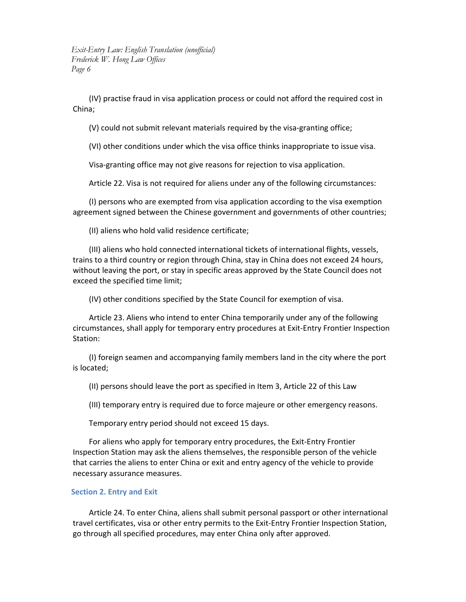(IV) practise fraud in visa application process or could not afford the required cost in China;

(V) could not submit relevant materials required by the visa‐granting office;

(VI) other conditions under which the visa office thinks inappropriate to issue visa.

Visa‐granting office may not give reasons for rejection to visa application.

Article 22. Visa is not required for aliens under any of the following circumstances:

(I) persons who are exempted from visa application according to the visa exemption agreement signed between the Chinese government and governments of other countries;

(II) aliens who hold valid residence certificate;

(III) aliens who hold connected international tickets of international flights, vessels, trains to a third country or region through China, stay in China does not exceed 24 hours, without leaving the port, or stay in specific areas approved by the State Council does not exceed the specified time limit;

(IV) other conditions specified by the State Council for exemption of visa.

Article 23. Aliens who intend to enter China temporarily under any of the following circumstances, shall apply for temporary entry procedures at Exit‐Entry Frontier Inspection Station:

(I) foreign seamen and accompanying family members land in the city where the port is located;

(II) persons should leave the port as specified in Item 3, Article 22 of this Law

(III) temporary entry is required due to force majeure or other emergency reasons.

Temporary entry period should not exceed 15 days.

For aliens who apply for temporary entry procedures, the Exit‐Entry Frontier Inspection Station may ask the aliens themselves, the responsible person of the vehicle that carries the aliens to enter China or exit and entry agency of the vehicle to provide necessary assurance measures.

#### **Section 2. Entry and Exit**

Article 24. To enter China, aliens shall submit personal passport or other international travel certificates, visa or other entry permits to the Exit‐Entry Frontier Inspection Station, go through all specified procedures, may enter China only after approved.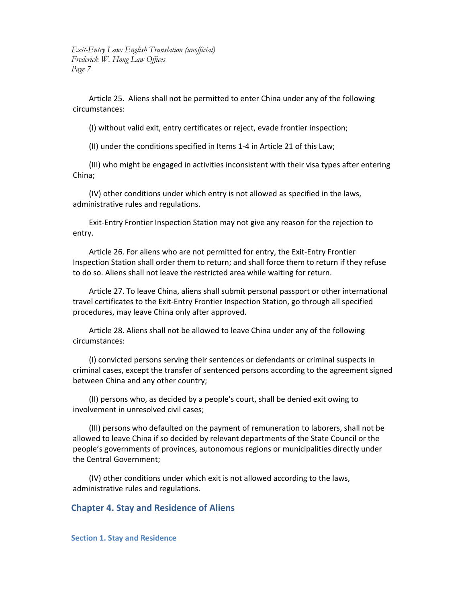Article 25. Aliens shall not be permitted to enter China under any of the following circumstances:

(I) without valid exit, entry certificates or reject, evade frontier inspection;

(II) under the conditions specified in Items 1‐4 in Article 21 of this Law;

(III) who might be engaged in activities inconsistent with their visa types after entering China;

(IV) other conditions under which entry is not allowed as specified in the laws, administrative rules and regulations.

Exit‐Entry Frontier Inspection Station may not give any reason for the rejection to entry.

Article 26. For aliens who are not permitted for entry, the Exit‐Entry Frontier Inspection Station shall order them to return; and shall force them to return if they refuse to do so. Aliens shall not leave the restricted area while waiting for return.

Article 27. To leave China, aliens shall submit personal passport or other international travel certificates to the Exit‐Entry Frontier Inspection Station, go through all specified procedures, may leave China only after approved.

Article 28. Aliens shall not be allowed to leave China under any of the following circumstances:

(I) convicted persons serving their sentences or defendants or criminal suspects in criminal cases, except the transfer of sentenced persons according to the agreement signed between China and any other country;

(II) persons who, as decided by a people's court, shall be denied exit owing to involvement in unresolved civil cases;

(III) persons who defaulted on the payment of remuneration to laborers, shall not be allowed to leave China if so decided by relevant departments of the State Council or the people's governments of provinces, autonomous regions or municipalities directly under the Central Government;

(IV) other conditions under which exit is not allowed according to the laws, administrative rules and regulations.

### **Chapter 4. Stay and Residence of Aliens**

**Section 1. Stay and Residence**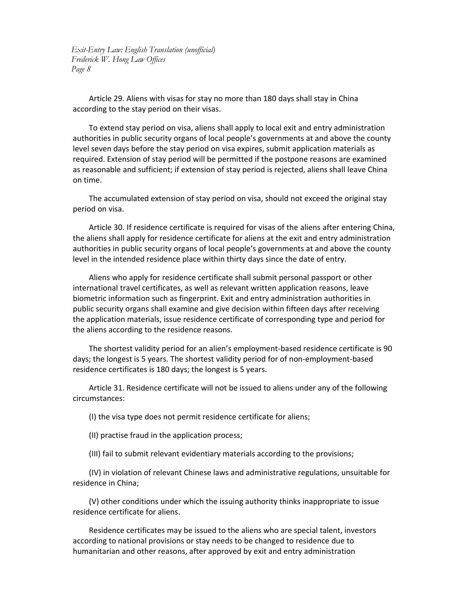Article 29. Aliens with visas for stay no more than 180 days shall stay in China according to the stay period on their visas.

To extend stay period on visa, aliens shall apply to local exit and entry administration authorities in public security organs of local people's governments at and above the county level seven days before the stay period on visa expires, submit application materials as required. Extension of stay period will be permitted if the postpone reasons are examined as reasonable and sufficient; if extension of stay period is rejected, aliens shall leave China on time.

The accumulated extension of stay period on visa, should not exceed the original stay period on visa.

Article 30. If residence certificate is required for visas of the aliens after entering China, the aliens shall apply for residence certificate for aliens at the exit and entry administration authorities in public security organs of local people's governments at and above the county level in the intended residence place within thirty days since the date of entry.

Aliens who apply for residence certificate shall submit personal passport or other international travel certificates, as well as relevant written application reasons, leave biometric information such as fingerprint. Exit and entry administration authorities in public security organs shall examine and give decision within fifteen days after receiving the application materials, issue residence certificate of corresponding type and period for the aliens according to the residence reasons.

The shortest validity period for an alien's employment‐based residence certificate is 90 days; the longest is 5 years. The shortest validity period for of non‐employment‐based residence certificates is 180 days; the longest is 5 years.

Article 31. Residence certificate will not be issued to aliens under any of the following circumstances:

(I) the visa type does not permit residence certificate for aliens;

(II) practise fraud in the application process;

(III) fail to submit relevant evidentiary materials according to the provisions;

(IV) in violation of relevant Chinese laws and administrative regulations, unsuitable for residence in China;

(V) other conditions under which the issuing authority thinks inappropriate to issue residence certificate for aliens.

Residence certificates may be issued to the aliens who are special talent, investors according to national provisions or stay needs to be changed to residence due to humanitarian and other reasons, after approved by exit and entry administration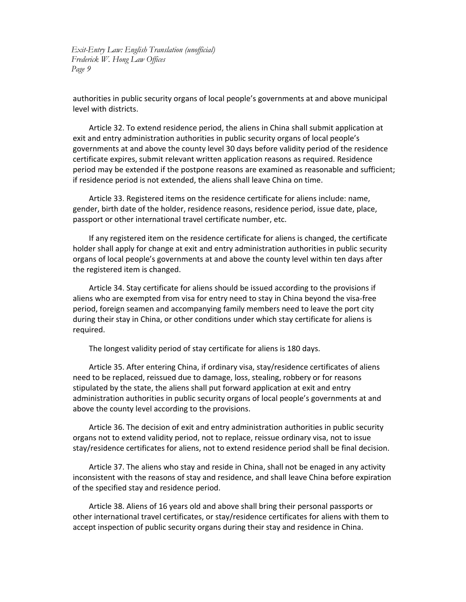authorities in public security organs of local people's governments at and above municipal level with districts.

Article 32. To extend residence period, the aliens in China shall submit application at exit and entry administration authorities in public security organs of local people's governments at and above the county level 30 days before validity period of the residence certificate expires, submit relevant written application reasons as required. Residence period may be extended if the postpone reasons are examined as reasonable and sufficient; if residence period is not extended, the aliens shall leave China on time.

Article 33. Registered items on the residence certificate for aliens include: name, gender, birth date of the holder, residence reasons, residence period, issue date, place, passport or other international travel certificate number, etc.

If any registered item on the residence certificate for aliens is changed, the certificate holder shall apply for change at exit and entry administration authorities in public security organs of local people's governments at and above the county level within ten days after the registered item is changed.

Article 34. Stay certificate for aliens should be issued according to the provisions if aliens who are exempted from visa for entry need to stay in China beyond the visa‐free period, foreign seamen and accompanying family members need to leave the port city during their stay in China, or other conditions under which stay certificate for aliens is required.

The longest validity period of stay certificate for aliens is 180 days.

Article 35. After entering China, if ordinary visa, stay/residence certificates of aliens need to be replaced, reissued due to damage, loss, stealing, robbery or for reasons stipulated by the state, the aliens shall put forward application at exit and entry administration authorities in public security organs of local people's governments at and above the county level according to the provisions.

Article 36. The decision of exit and entry administration authorities in public security organs not to extend validity period, not to replace, reissue ordinary visa, not to issue stay/residence certificates for aliens, not to extend residence period shall be final decision.

Article 37. The aliens who stay and reside in China, shall not be enaged in any activity inconsistent with the reasons of stay and residence, and shall leave China before expiration of the specified stay and residence period.

Article 38. Aliens of 16 years old and above shall bring their personal passports or other international travel certificates, or stay/residence certificates for aliens with them to accept inspection of public security organs during their stay and residence in China.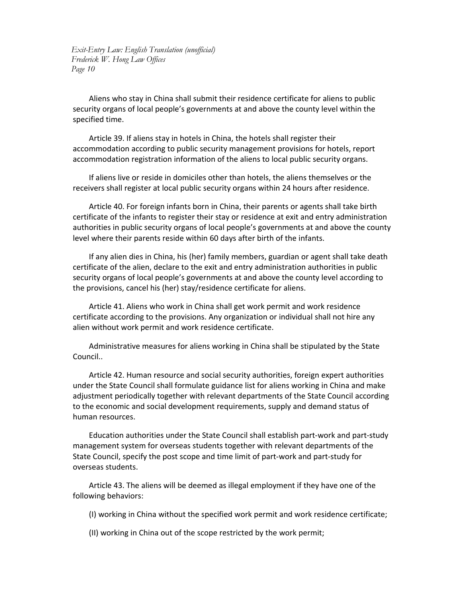Aliens who stay in China shall submit their residence certificate for aliens to public security organs of local people's governments at and above the county level within the specified time.

Article 39. If aliens stay in hotels in China, the hotels shall register their accommodation according to public security management provisions for hotels, report accommodation registration information of the aliens to local public security organs.

If aliens live or reside in domiciles other than hotels, the aliens themselves or the receivers shall register at local public security organs within 24 hours after residence.

Article 40. For foreign infants born in China, their parents or agents shall take birth certificate of the infants to register their stay or residence at exit and entry administration authorities in public security organs of local people's governments at and above the county level where their parents reside within 60 days after birth of the infants.

If any alien dies in China, his (her) family members, guardian or agent shall take death certificate of the alien, declare to the exit and entry administration authorities in public security organs of local people's governments at and above the county level according to the provisions, cancel his (her) stay/residence certificate for aliens.

Article 41. Aliens who work in China shall get work permit and work residence certificate according to the provisions. Any organization or individual shall not hire any alien without work permit and work residence certificate.

Administrative measures for aliens working in China shall be stipulated by the State Council..

Article 42. Human resource and social security authorities, foreign expert authorities under the State Council shall formulate guidance list for aliens working in China and make adjustment periodically together with relevant departments of the State Council according to the economic and social development requirements, supply and demand status of human resources.

Education authorities under the State Council shall establish part‐work and part‐study management system for overseas students together with relevant departments of the State Council, specify the post scope and time limit of part‐work and part‐study for overseas students.

Article 43. The aliens will be deemed as illegal employment if they have one of the following behaviors:

(I) working in China without the specified work permit and work residence certificate;

(II) working in China out of the scope restricted by the work permit;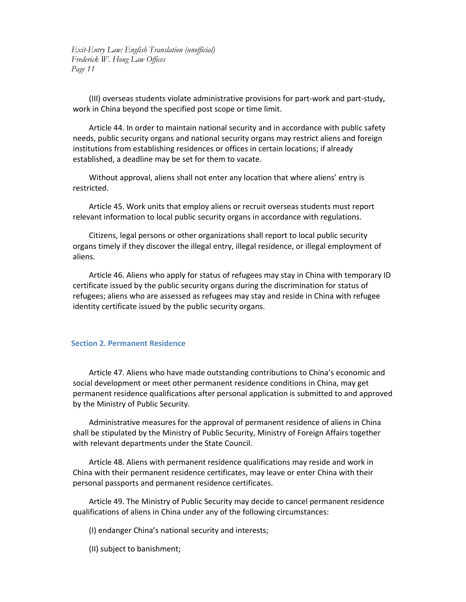(III) overseas students violate administrative provisions for part‐work and part‐study, work in China beyond the specified post scope or time limit.

Article 44. In order to maintain national security and in accordance with public safety needs, public security organs and national security organs may restrict aliens and foreign institutions from establishing residences or offices in certain locations; if already established, a deadline may be set for them to vacate.

Without approval, aliens shall not enter any location that where aliens' entry is restricted.

Article 45. Work units that employ aliens or recruit overseas students must report relevant information to local public security organs in accordance with regulations.

Citizens, legal persons or other organizations shall report to local public security organs timely if they discover the illegal entry, illegal residence, or illegal employment of aliens.

Article 46. Aliens who apply for status of refugees may stay in China with temporary ID certificate issued by the public security organs during the discrimination for status of refugees; aliens who are assessed as refugees may stay and reside in China with refugee identity certificate issued by the public security organs.

#### **Section 2. Permanent Residence**

Article 47. Aliens who have made outstanding contributions to China's economic and social development or meet other permanent residence conditions in China, may get permanent residence qualifications after personal application is submitted to and approved by the Ministry of Public Security.

Administrative measures for the approval of permanent residence of aliens in China shall be stipulated by the Ministry of Public Security, Ministry of Foreign Affairs together with relevant departments under the State Council.

Article 48. Aliens with permanent residence qualifications may reside and work in China with their permanent residence certificates, may leave or enter China with their personal passports and permanent residence certificates.

Article 49. The Ministry of Public Security may decide to cancel permanent residence qualifications of aliens in China under any of the following circumstances:

(I) endanger China's national security and interests;

(II) subject to banishment;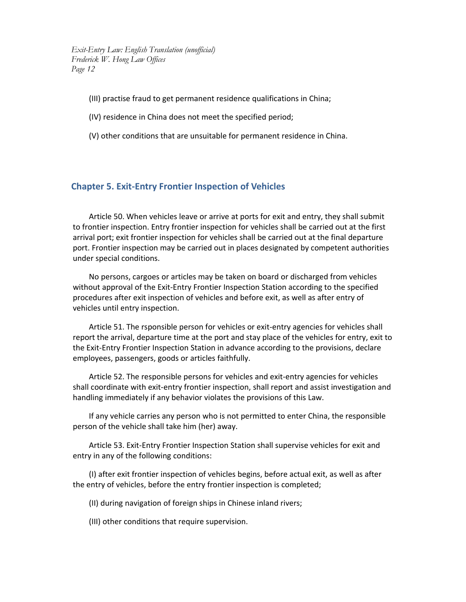- (III) practise fraud to get permanent residence qualifications in China;
- (IV) residence in China does not meet the specified period;
- (V) other conditions that are unsuitable for permanent residence in China.

### **Chapter 5. Exit‐Entry Frontier Inspection of Vehicles**

Article 50. When vehicles leave or arrive at ports for exit and entry, they shall submit to frontier inspection. Entry frontier inspection for vehicles shall be carried out at the first arrival port; exit frontier inspection for vehicles shall be carried out at the final departure port. Frontier inspection may be carried out in places designated by competent authorities under special conditions.

No persons, cargoes or articles may be taken on board or discharged from vehicles without approval of the Exit‐Entry Frontier Inspection Station according to the specified procedures after exit inspection of vehicles and before exit, as well as after entry of vehicles until entry inspection.

Article 51. The rsponsible person for vehicles or exit‐entry agencies for vehicles shall report the arrival, departure time at the port and stay place of the vehicles for entry, exit to the Exit‐Entry Frontier Inspection Station in advance according to the provisions, declare employees, passengers, goods or articles faithfully.

Article 52. The responsible persons for vehicles and exit‐entry agencies for vehicles shall coordinate with exit‐entry frontier inspection, shall report and assist investigation and handling immediately if any behavior violates the provisions of this Law.

If any vehicle carries any person who is not permitted to enter China, the responsible person of the vehicle shall take him (her) away.

Article 53. Exit‐Entry Frontier Inspection Station shall supervise vehicles for exit and entry in any of the following conditions:

(I) after exit frontier inspection of vehicles begins, before actual exit, as well as after the entry of vehicles, before the entry frontier inspection is completed;

(II) during navigation of foreign ships in Chinese inland rivers;

(III) other conditions that require supervision.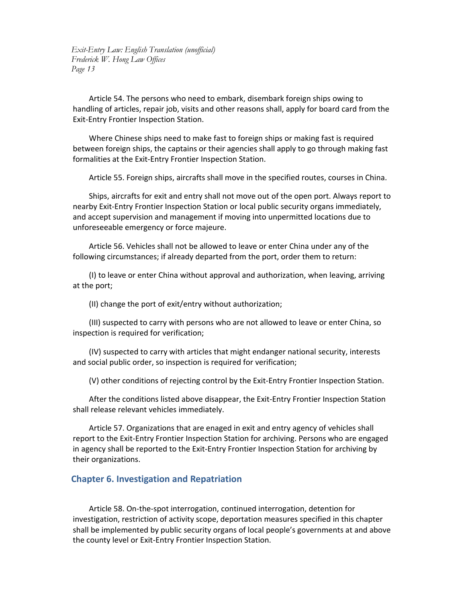Article 54. The persons who need to embark, disembark foreign ships owing to handling of articles, repair job, visits and other reasons shall, apply for board card from the Exit‐Entry Frontier Inspection Station.

Where Chinese ships need to make fast to foreign ships or making fast is required between foreign ships, the captains or their agencies shall apply to go through making fast formalities at the Exit‐Entry Frontier Inspection Station.

Article 55. Foreign ships, aircrafts shall move in the specified routes, courses in China.

Ships, aircrafts for exit and entry shall not move out of the open port. Always report to nearby Exit‐Entry Frontier Inspection Station or local public security organs immediately, and accept supervision and management if moving into unpermitted locations due to unforeseeable emergency or force majeure.

Article 56. Vehicles shall not be allowed to leave or enter China under any of the following circumstances; if already departed from the port, order them to return:

(I) to leave or enter China without approval and authorization, when leaving, arriving at the port;

(II) change the port of exit/entry without authorization;

(III) suspected to carry with persons who are not allowed to leave or enter China, so inspection is required for verification;

(IV) suspected to carry with articles that might endanger national security, interests and social public order, so inspection is required for verification;

(V) other conditions of rejecting control by the Exit‐Entry Frontier Inspection Station.

After the conditions listed above disappear, the Exit‐Entry Frontier Inspection Station shall release relevant vehicles immediately.

Article 57. Organizations that are enaged in exit and entry agency of vehicles shall report to the Exit‐Entry Frontier Inspection Station for archiving. Persons who are engaged in agency shall be reported to the Exit‐Entry Frontier Inspection Station for archiving by their organizations.

#### **Chapter 6. Investigation and Repatriation**

Article 58. On‐the‐spot interrogation, continued interrogation, detention for investigation, restriction of activity scope, deportation measures specified in this chapter shall be implemented by public security organs of local people's governments at and above the county level or Exit‐Entry Frontier Inspection Station.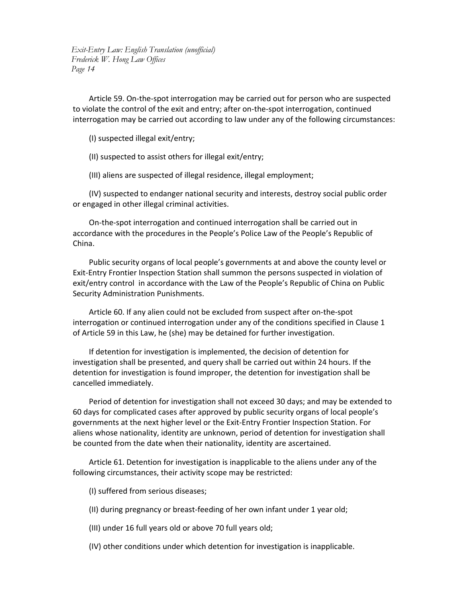Article 59. On‐the‐spot interrogation may be carried out for person who are suspected to violate the control of the exit and entry; after on‐the‐spot interrogation, continued interrogation may be carried out according to law under any of the following circumstances:

- (I) suspected illegal exit/entry;
- (II) suspected to assist others for illegal exit/entry;

(III) aliens are suspected of illegal residence, illegal employment;

(IV) suspected to endanger national security and interests, destroy social public order or engaged in other illegal criminal activities.

On‐the‐spot interrogation and continued interrogation shall be carried out in accordance with the procedures in the People's Police Law of the People's Republic of China.

Public security organs of local people's governments at and above the county level or Exit‐Entry Frontier Inspection Station shall summon the persons suspected in violation of exit/entry control in accordance with the Law of the People's Republic of China on Public Security Administration Punishments.

Article 60. If any alien could not be excluded from suspect after on‐the‐spot interrogation or continued interrogation under any of the conditions specified in Clause 1 of Article 59 in this Law, he (she) may be detained for further investigation.

If detention for investigation is implemented, the decision of detention for investigation shall be presented, and query shall be carried out within 24 hours. If the detention for investigation is found improper, the detention for investigation shall be cancelled immediately.

Period of detention for investigation shall not exceed 30 days; and may be extended to 60 days for complicated cases after approved by public security organs of local people's governments at the next higher level or the Exit‐Entry Frontier Inspection Station. For aliens whose nationality, identity are unknown, period of detention for investigation shall be counted from the date when their nationality, identity are ascertained.

Article 61. Detention for investigation is inapplicable to the aliens under any of the following circumstances, their activity scope may be restricted:

- (I) suffered from serious diseases;
- (II) during pregnancy or breast‐feeding of her own infant under 1 year old;

(III) under 16 full years old or above 70 full years old;

(IV) other conditions under which detention for investigation is inapplicable.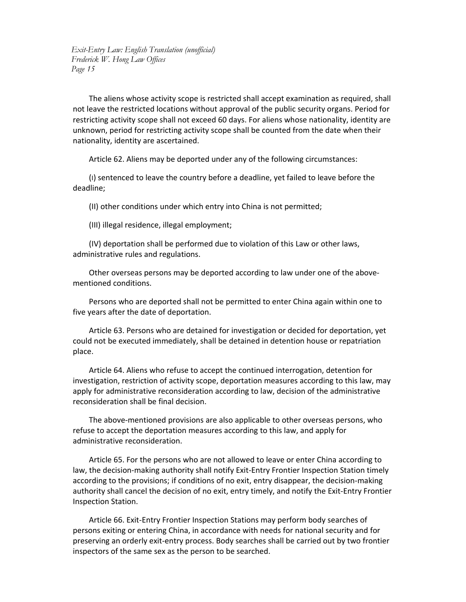The aliens whose activity scope is restricted shall accept examination as required, shall not leave the restricted locations without approval of the public security organs. Period for restricting activity scope shall not exceed 60 days. For aliens whose nationality, identity are unknown, period for restricting activity scope shall be counted from the date when their nationality, identity are ascertained.

Article 62. Aliens may be deported under any of the following circumstances:

(I) sentenced to leave the country before a deadline, yet failed to leave before the deadline;

(II) other conditions under which entry into China is not permitted;

(III) illegal residence, illegal employment;

(IV) deportation shall be performed due to violation of this Law or other laws, administrative rules and regulations.

Other overseas persons may be deported according to law under one of the above‐ mentioned conditions.

Persons who are deported shall not be permitted to enter China again within one to five years after the date of deportation.

Article 63. Persons who are detained for investigation or decided for deportation, yet could not be executed immediately, shall be detained in detention house or repatriation place.

Article 64. Aliens who refuse to accept the continued interrogation, detention for investigation, restriction of activity scope, deportation measures according to this law, may apply for administrative reconsideration according to law, decision of the administrative reconsideration shall be final decision.

The above-mentioned provisions are also applicable to other overseas persons, who refuse to accept the deportation measures according to this law, and apply for administrative reconsideration.

Article 65. For the persons who are not allowed to leave or enter China according to law, the decision‐making authority shall notify Exit‐Entry Frontier Inspection Station timely according to the provisions; if conditions of no exit, entry disappear, the decision‐making authority shall cancel the decision of no exit, entry timely, and notify the Exit‐Entry Frontier Inspection Station.

Article 66. Exit‐Entry Frontier Inspection Stations may perform body searches of persons exiting or entering China, in accordance with needs for national security and for preserving an orderly exit‐entry process. Body searches shall be carried out by two frontier inspectors of the same sex as the person to be searched.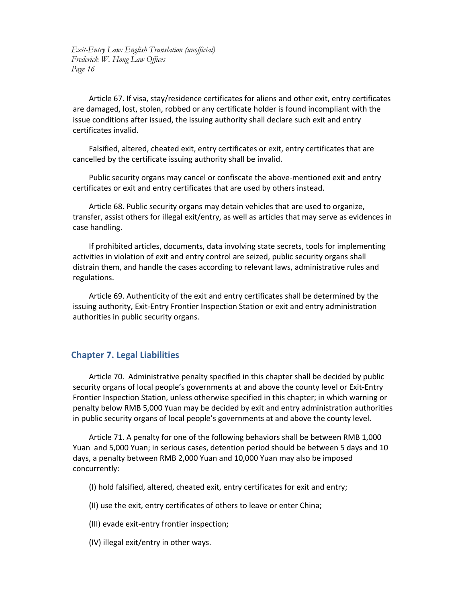Article 67. If visa, stay/residence certificates for aliens and other exit, entry certificates are damaged, lost, stolen, robbed or any certificate holder is found incompliant with the issue conditions after issued, the issuing authority shall declare such exit and entry certificates invalid.

Falsified, altered, cheated exit, entry certificates or exit, entry certificates that are cancelled by the certificate issuing authority shall be invalid.

Public security organs may cancel or confiscate the above-mentioned exit and entry certificates or exit and entry certificates that are used by others instead.

Article 68. Public security organs may detain vehicles that are used to organize, transfer, assist others for illegal exit/entry, as well as articles that may serve as evidences in case handling.

If prohibited articles, documents, data involving state secrets, tools for implementing activities in violation of exit and entry control are seized, public security organs shall distrain them, and handle the cases according to relevant laws, administrative rules and regulations.

Article 69. Authenticity of the exit and entry certificates shall be determined by the issuing authority, Exit‐Entry Frontier Inspection Station or exit and entry administration authorities in public security organs.

## **Chapter 7. Legal Liabilities**

Article 70. Administrative penalty specified in this chapter shall be decided by public security organs of local people's governments at and above the county level or Exit‐Entry Frontier Inspection Station, unless otherwise specified in this chapter; in which warning or penalty below RMB 5,000 Yuan may be decided by exit and entry administration authorities in public security organs of local people's governments at and above the county level.

Article 71. A penalty for one of the following behaviors shall be between RMB 1,000 Yuan and 5,000 Yuan; in serious cases, detention period should be between 5 days and 10 days, a penalty between RMB 2,000 Yuan and 10,000 Yuan may also be imposed concurrently:

(I) hold falsified, altered, cheated exit, entry certificates for exit and entry;

(II) use the exit, entry certificates of others to leave or enter China;

- (III) evade exit‐entry frontier inspection;
- (IV) illegal exit/entry in other ways.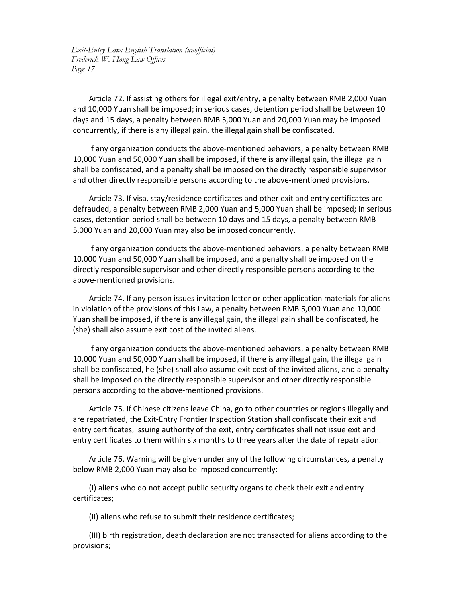Article 72. If assisting others for illegal exit/entry, a penalty between RMB 2,000 Yuan and 10,000 Yuan shall be imposed; in serious cases, detention period shall be between 10 days and 15 days, a penalty between RMB 5,000 Yuan and 20,000 Yuan may be imposed concurrently, if there is any illegal gain, the illegal gain shall be confiscated.

If any organization conducts the above‐mentioned behaviors, a penalty between RMB 10,000 Yuan and 50,000 Yuan shall be imposed, if there is any illegal gain, the illegal gain shall be confiscated, and a penalty shall be imposed on the directly responsible supervisor and other directly responsible persons according to the above‐mentioned provisions.

Article 73. If visa, stay/residence certificates and other exit and entry certificates are defrauded, a penalty between RMB 2,000 Yuan and 5,000 Yuan shall be imposed; in serious cases, detention period shall be between 10 days and 15 days, a penalty between RMB 5,000 Yuan and 20,000 Yuan may also be imposed concurrently.

If any organization conducts the above‐mentioned behaviors, a penalty between RMB 10,000 Yuan and 50,000 Yuan shall be imposed, and a penalty shall be imposed on the directly responsible supervisor and other directly responsible persons according to the above‐mentioned provisions.

Article 74. If any person issues invitation letter or other application materials for aliens in violation of the provisions of this Law, a penalty between RMB 5,000 Yuan and 10,000 Yuan shall be imposed, if there is any illegal gain, the illegal gain shall be confiscated, he (she) shall also assume exit cost of the invited aliens.

If any organization conducts the above‐mentioned behaviors, a penalty between RMB 10,000 Yuan and 50,000 Yuan shall be imposed, if there is any illegal gain, the illegal gain shall be confiscated, he (she) shall also assume exit cost of the invited aliens, and a penalty shall be imposed on the directly responsible supervisor and other directly responsible persons according to the above‐mentioned provisions.

Article 75. If Chinese citizens leave China, go to other countries or regions illegally and are repatriated, the Exit‐Entry Frontier Inspection Station shall confiscate their exit and entry certificates, issuing authority of the exit, entry certificates shall not issue exit and entry certificates to them within six months to three years after the date of repatriation.

Article 76. Warning will be given under any of the following circumstances, a penalty below RMB 2,000 Yuan may also be imposed concurrently:

(I) aliens who do not accept public security organs to check their exit and entry certificates;

(II) aliens who refuse to submit their residence certificates;

(III) birth registration, death declaration are not transacted for aliens according to the provisions;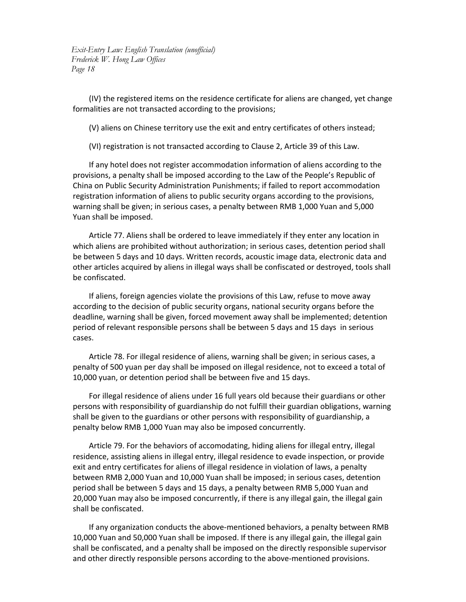(IV) the registered items on the residence certificate for aliens are changed, yet change formalities are not transacted according to the provisions;

(V) aliens on Chinese territory use the exit and entry certificates of others instead;

(VI) registration is not transacted according to Clause 2, Article 39 of this Law.

If any hotel does not register accommodation information of aliens according to the provisions, a penalty shall be imposed according to the Law of the People's Republic of China on Public Security Administration Punishments; if failed to report accommodation registration information of aliens to public security organs according to the provisions, warning shall be given; in serious cases, a penalty between RMB 1,000 Yuan and 5,000 Yuan shall be imposed.

Article 77. Aliens shall be ordered to leave immediately if they enter any location in which aliens are prohibited without authorization; in serious cases, detention period shall be between 5 days and 10 days. Written records, acoustic image data, electronic data and other articles acquired by aliens in illegal ways shall be confiscated or destroyed, tools shall be confiscated.

If aliens, foreign agencies violate the provisions of this Law, refuse to move away according to the decision of public security organs, national security organs before the deadline, warning shall be given, forced movement away shall be implemented; detention period of relevant responsible persons shall be between 5 days and 15 days in serious cases.

Article 78. For illegal residence of aliens, warning shall be given; in serious cases, a penalty of 500 yuan per day shall be imposed on illegal residence, not to exceed a total of 10,000 yuan, or detention period shall be between five and 15 days.

For illegal residence of aliens under 16 full years old because their guardians or other persons with responsibility of guardianship do not fulfill their guardian obligations, warning shall be given to the guardians or other persons with responsibility of guardianship, a penalty below RMB 1,000 Yuan may also be imposed concurrently.

Article 79. For the behaviors of accomodating, hiding aliens for illegal entry, illegal residence, assisting aliens in illegal entry, illegal residence to evade inspection, or provide exit and entry certificates for aliens of illegal residence in violation of laws, a penalty between RMB 2,000 Yuan and 10,000 Yuan shall be imposed; in serious cases, detention period shall be between 5 days and 15 days, a penalty between RMB 5,000 Yuan and 20,000 Yuan may also be imposed concurrently, if there is any illegal gain, the illegal gain shall be confiscated.

If any organization conducts the above‐mentioned behaviors, a penalty between RMB 10,000 Yuan and 50,000 Yuan shall be imposed. If there is any illegal gain, the illegal gain shall be confiscated, and a penalty shall be imposed on the directly responsible supervisor and other directly responsible persons according to the above‐mentioned provisions.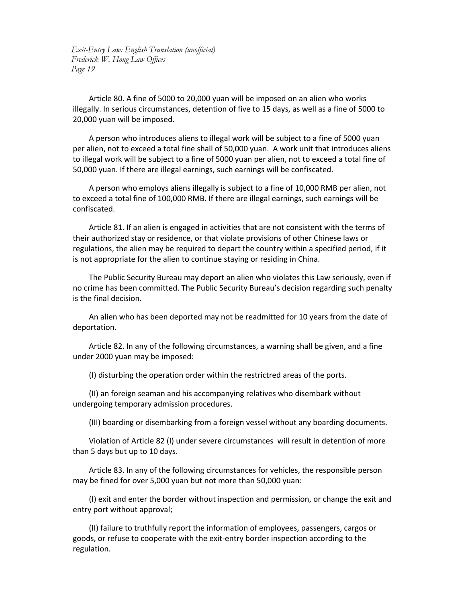Article 80. A fine of 5000 to 20,000 yuan will be imposed on an alien who works illegally. In serious circumstances, detention of five to 15 days, as well as a fine of 5000 to 20,000 yuan will be imposed.

A person who introduces aliens to illegal work will be subject to a fine of 5000 yuan per alien, not to exceed a total fine shall of 50,000 yuan. A work unit that introduces aliens to illegal work will be subject to a fine of 5000 yuan per alien, not to exceed a total fine of 50,000 yuan. If there are illegal earnings, such earnings will be confiscated.

A person who employs aliens illegally is subject to a fine of 10,000 RMB per alien, not to exceed a total fine of 100,000 RMB. If there are illegal earnings, such earnings will be confiscated.

Article 81. If an alien is engaged in activities that are not consistent with the terms of their authorized stay or residence, or that violate provisions of other Chinese laws or regulations, the alien may be required to depart the country within a specified period, if it is not appropriate for the alien to continue staying or residing in China.

The Public Security Bureau may deport an alien who violates this Law seriously, even if no crime has been committed. The Public Security Bureau's decision regarding such penalty is the final decision.

An alien who has been deported may not be readmitted for 10 years from the date of deportation.

Article 82. In any of the following circumstances, a warning shall be given, and a fine under 2000 yuan may be imposed:

(I) disturbing the operation order within the restrictred areas of the ports.

(II) an foreign seaman and his accompanying relatives who disembark without undergoing temporary admission procedures.

(III) boarding or disembarking from a foreign vessel without any boarding documents.

Violation of Article 82 (I) under severe circumstances will result in detention of more than 5 days but up to 10 days.

Article 83. In any of the following circumstances for vehicles, the responsible person may be fined for over 5,000 yuan but not more than 50,000 yuan:

(I) exit and enter the border without inspection and permission, or change the exit and entry port without approval;

(II) failure to truthfully report the information of employees, passengers, cargos or goods, or refuse to cooperate with the exit‐entry border inspection according to the regulation.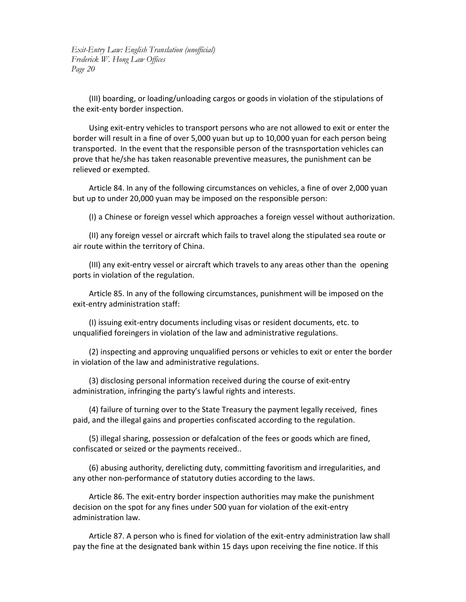(III) boarding, or loading/unloading cargos or goods in violation of the stipulations of the exit‐enty border inspection.

Using exit‐entry vehicles to transport persons who are not allowed to exit or enter the border will result in a fine of over 5,000 yuan but up to 10,000 yuan for each person being transported. In the event that the responsible person of the trasnsportation vehicles can prove that he/she has taken reasonable preventive measures, the punishment can be relieved or exempted.

Article 84. In any of the following circumstances on vehicles, a fine of over 2,000 yuan but up to under 20,000 yuan may be imposed on the responsible person:

(I) a Chinese or foreign vessel which approaches a foreign vessel without authorization.

(II) any foreign vessel or aircraft which fails to travel along the stipulated sea route or air route within the territory of China.

(III) any exit‐entry vessel or aircraft which travels to any areas other than the opening ports in violation of the regulation.

Article 85. In any of the following circumstances, punishment will be imposed on the exit‐entry administration staff:

(I) issuing exit‐entry documents including visas or resident documents, etc. to unqualified foreingers in violation of the law and administrative regulations.

(2) inspecting and approving unqualified persons or vehicles to exit or enter the border in violation of the law and administrative regulations.

(3) disclosing personal information received during the course of exit‐entry administration, infringing the party's lawful rights and interests.

(4) failure of turning over to the State Treasury the payment legally received, fines paid, and the illegal gains and properties confiscated according to the regulation.

(5) illegal sharing, possession or defalcation of the fees or goods which are fined, confiscated or seized or the payments received..

(6) abusing authority, derelicting duty, committing favoritism and irregularities, and any other non‐performance of statutory duties according to the laws.

Article 86. The exit‐entry border inspection authorities may make the punishment decision on the spot for any fines under 500 yuan for violation of the exit-entry administration law.

Article 87. A person who is fined for violation of the exit-entry administration law shall pay the fine at the designated bank within 15 days upon receiving the fine notice. If this